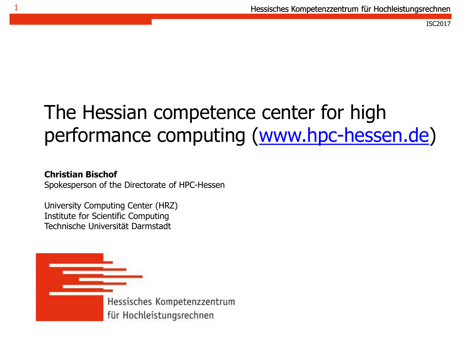### The Hessian competence center for high performance computing ([www.hpc-hessen.de](http://www.hpc-hessen.de/))

#### **Christian Bischof**

1

Spokesperson of the Directorate of HPC-Hessen

University Computing Center (HRZ) Institute for Scientific Computing Technische Universität Darmstadt

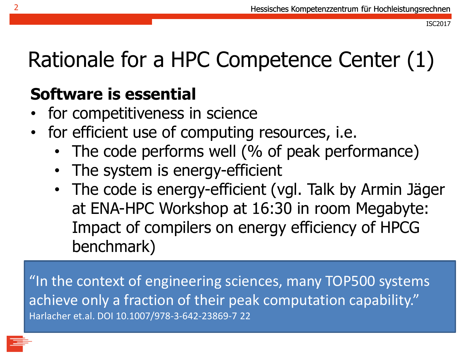Rationale for a HPC Competence Center (1)

### **Software is essential**

- for competitiveness in science
- for efficient use of computing resources, i.e.
	- The code performs well (% of peak performance)
	- The system is energy-efficient
	- The code is energy-efficient (vgl. Talk by Armin Jäger at ENA-HPC Workshop at 16:30 in room Megabyte: Impact of compilers on energy efficiency of HPCG benchmark)

"In the context of engineering sciences, many TOP500 systems achieve only a fraction of their peak computation capability." Harlacher et.al. DOI 10.1007/978-3-642-23869-7 22

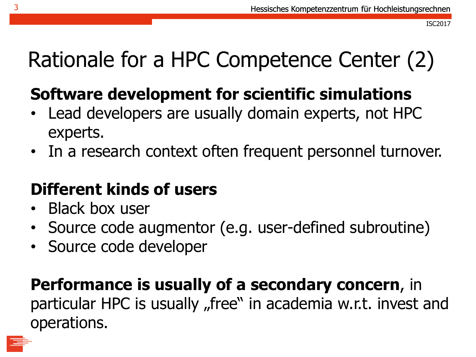### Rationale for a HPC Competence Center (2)

### **Software development for scientific simulations**

- Lead developers are usually domain experts, not HPC experts.
- In a research context often frequent personnel turnover.

### **Different kinds of users**

- Black box user
- Source code augmentor (e.g. user-defined subroutine)
- Source code developer

### **Performance is usually of a secondary concern**, in

particular HPC is usually "free" in academia w.r.t. invest and operations.

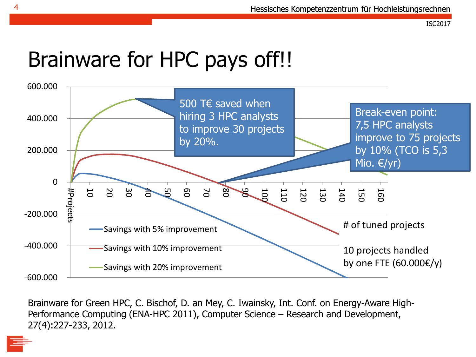### Brainware for HPC pays off!!



Brainware for Green HPC, C. Bischof, D. an Mey, C. Iwainsky, Int. Conf. on Energy-Aware High-Performance Computing (ENA-HPC 2011), Computer Science – Research and Development, 27(4):227-233, 2012.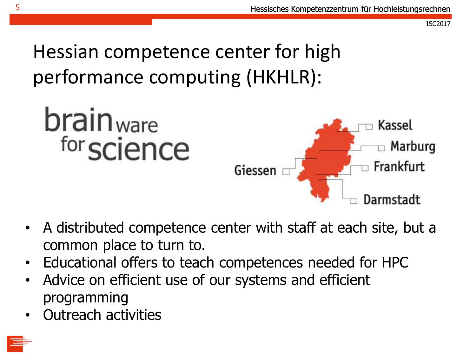Hessian competence center for high performance computing (HKHLR):



- A distributed competence center with staff at each site, but a common place to turn to.
- Educational offers to teach competences needed for HPC
- Advice on efficient use of our systems and efficient programming
- Outreach activities

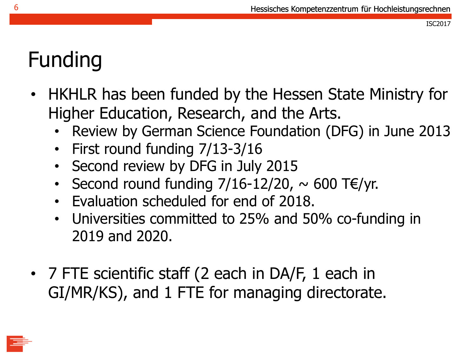### Funding

- HKHLR has been funded by the Hessen State Ministry for Higher Education, Research, and the Arts.
	- Review by German Science Foundation (DFG) in June 2013
	- First round funding 7/13-3/16
	- Second review by DFG in July 2015
	- Second round funding  $7/16-12/20$ ,  $\sim 600$  T $\epsilon$ /yr.
	- Evaluation scheduled for end of 2018.
	- Universities committed to 25% and 50% co-funding in 2019 and 2020.
- 7 FTE scientific staff (2 each in DA/F, 1 each in GI/MR/KS), and 1 FTE for managing directorate.

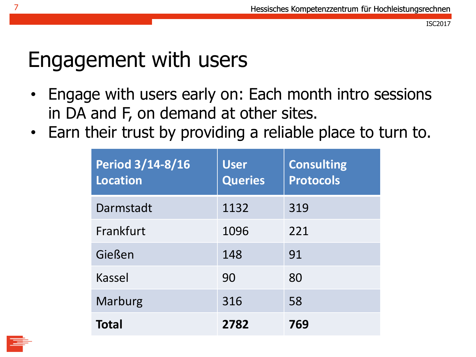### Engagement with users

- Engage with users early on: Each month intro sessions in DA and F, on demand at other sites.
- Earn their trust by providing a reliable place to turn to.

| <b>Period 3/14-8/16</b><br><b>Location</b> | <b>User</b><br><b>Queries</b> | <b>Consulting</b><br><b>Protocols</b> |
|--------------------------------------------|-------------------------------|---------------------------------------|
| Darmstadt                                  | 1132                          | 319                                   |
| Frankfurt                                  | 1096                          | 221                                   |
| Gießen                                     | 148                           | 91                                    |
| Kassel                                     | 90                            | 80                                    |
| Marburg                                    | 316                           | 58                                    |
| <b>Total</b>                               | 2782                          | 769                                   |

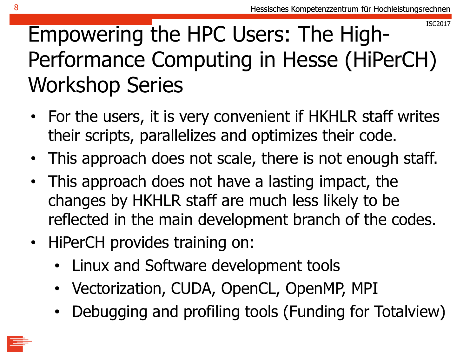### Empowering the HPC Users: The High-Performance Computing in Hesse (HiPerCH) Workshop Series

- For the users, it is very convenient if HKHLR staff writes their scripts, parallelizes and optimizes their code.
- This approach does not scale, there is not enough staff.
- This approach does not have a lasting impact, the changes by HKHLR staff are much less likely to be reflected in the main development branch of the codes.
- HiPerCH provides training on:
	- Linux and Software development tools
	- Vectorization, CUDA, OpenCL, OpenMP, MPI
	- Debugging and profiling tools (Funding for Totalview)

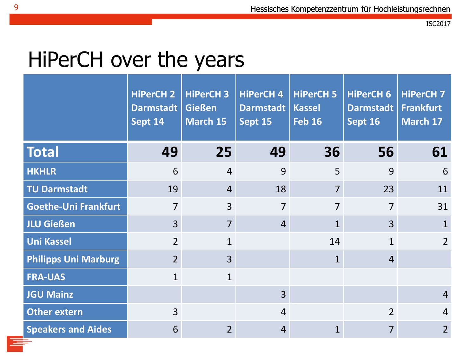### HiPerCH over the years

|                             | <b>HiPerCH 2</b><br>Darmstadt  <br>Sept 14 | <b>HiPerCH 3</b><br><b>Gießen</b><br>March 15 | <b>HiPerCH 4</b><br><b>Darmstadt</b><br>Sept 15 | <b>HiPerCH 5</b><br><b>Kassel</b><br><b>Feb 16</b> | HiPerCH 6<br>Darmstadt<br>Sept 16 | <b>HiPerCH 7</b><br><b>Frankfurt</b><br>March 17 |
|-----------------------------|--------------------------------------------|-----------------------------------------------|-------------------------------------------------|----------------------------------------------------|-----------------------------------|--------------------------------------------------|
| <b>Total</b>                | 49                                         | 25                                            | 49                                              | 36                                                 | 56                                | 61                                               |
| <b>HKHLR</b>                | 6                                          | $\overline{4}$                                | 9                                               | 5                                                  | 9                                 | 6                                                |
| <b>TU Darmstadt</b>         | 19                                         | $\overline{4}$                                | 18                                              | $\overline{7}$                                     | 23                                | 11                                               |
| <b>Goethe-Uni Frankfurt</b> | $\overline{7}$                             | $\overline{3}$                                | $\overline{7}$                                  | $\overline{7}$                                     | $\overline{7}$                    | 31                                               |
| <b>JLU Gießen</b>           | $\overline{3}$                             | $\overline{7}$                                | $\overline{4}$                                  | $\mathbf{1}$                                       | $\overline{3}$                    | $\mathbf{1}$                                     |
| <b>Uni Kassel</b>           | $\overline{2}$                             | $\mathbf{1}$                                  |                                                 | 14                                                 | $\mathbf{1}$                      | $\overline{2}$                                   |
| <b>Philipps Uni Marburg</b> | $\overline{2}$                             | $\overline{3}$                                |                                                 | $\mathbf{1}$                                       | $\overline{4}$                    |                                                  |
| <b>FRA-UAS</b>              | $\mathbf{1}$                               | $\mathbf{1}$                                  |                                                 |                                                    |                                   |                                                  |
| <b>JGU Mainz</b>            |                                            |                                               | $\overline{3}$                                  |                                                    |                                   | $\overline{4}$                                   |
| <b>Other extern</b>         | $\overline{3}$                             |                                               | $\overline{4}$                                  |                                                    | $\overline{2}$                    | $\overline{4}$                                   |
| <b>Speakers and Aides</b>   | 6                                          | 2 <sup>1</sup>                                | $\overline{4}$                                  | $\mathbf{1}$                                       | $\overline{7}$                    | $\overline{2}$                                   |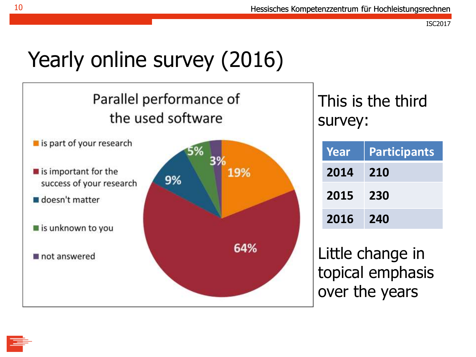### Yearly online survey (2016)

### Parallel performance of the used software

- $\blacksquare$  is part of your research
- $\blacksquare$  is important for the success of your research
- doesn't matter
- is unknown to you
- not answered



This is the third survey:

| Year | <b>Participants</b> |
|------|---------------------|
| 2014 | <b>210</b>          |
| 2015 | 230                 |
| 2016 | 240                 |

Little change in topical emphasis over the years

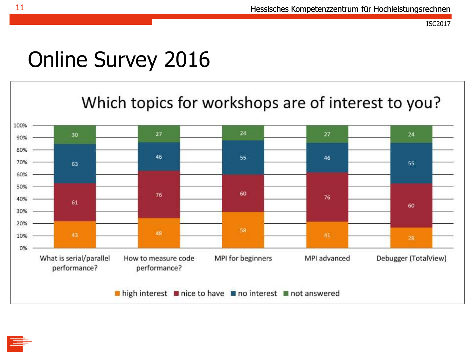### Online Survey 2016



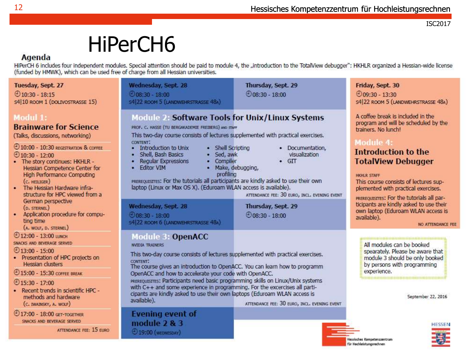### HiPerCH6

#### Agenda

HiPerCH 6 includes four independent modules. Special attention should be paid to module 4, the "introduction to the TotalView debugger": HKHLR organized a Hessian-wide license (funded by HMWK), which can be used free of charge from all Hessian universities.

Wednesday, Sept. 28 Thursday, Sept. 29 Friday, Sept. 30 Tuesday, Sept. 27  $\bigoplus$ 10:30 - 18:15  $\odot$ 08:30 - 18:00  $\bigoplus$ 08:30 - 18:00  $0.9930 - 1330$ s4 10 ROOM 1 (DOLIVOSTRASSE 15) **S4 22 ROOM 5 (LANDWEHRSTRASSE 48A)** S4 22 ROOM 5 (LANDWEHRSTRASSE 48A) Module 2: Software Tools for Unix/Linux Systems A coffee break is included in the Modul 1: program and will be scheduled by the **Brainware for Science** PROF. C. HASSE (TU BERGAKADEMIE FREIBERG) AND STAFF trainers. No lunch! This two-day course consists of lectures supplemented with practical exercises. (Talks, discussions, networking) Module 4: CONTENT. 4 10:00 - 10:30 REGISTRATION & COFFEE • Introduction to Unix · Documentation, • Shell Scripting Introduction to the  $①$ 10:30 - 12:00 · Shell, Bash Basics · Sed. awk visualization • The story continues: HKHLR -• Regular Expressions • Compiler  $\bullet$  GIT **TotalView Debugger** · Fditor VIM Hessian Competence Center for · Make, debugging, profiling **High Performance Computing** HKHLR STAFF PREREQUISITES: For the tutorials all participants are kindly asked to use their own  $(c.$  HEILIGER) This course consists of lectures suplaptop (Linux or Max OS X), (Eduroam WLAN access is available). . The Hessian Hardware infraplemented with practical exercises. structure for HPC viewed from a ATTENDANCE FEE: 30 EURO, INCL. EVENING EVENT PREREQUISTIES: For the tutorials all par-German perspective ticipants are kindly asked to use their Wednesday, Sept. 28 Thursday, Sept. 29 (D. STERNEL) own laptop (Eduroam WLAN access is Application procedure for compu- $\bigoplus$ 08:30 - 18:00  $\bigoplus$ 08:30 - 18:00 available). ting time \$4 22 ROOM 6 (LANDWEHRSTRASSE 48A) (A. WOLF, D. STERNEL) ⊕12:00 - 13:00 шкон **Module 3: OpenACC** SNACKS AND BEVERAGE SERVED All modules can be booked **NVIDIA TRAINERS**  $\bigodot$  13:00 - 15:00 spearately. Please be aware that This two-day course consists of lectures supplemented with practical exercises. · Presentation of HPC projects on module 3 should be only booked CONTENT: **Hessian clusters** by persons with programming The course gives an introduction to OpenACC. You can learn how to programm experience. 15:00 - 15:30 COFFEE BREAK OpenACC and how to accelerate your code with OpenACC. PREREQUISITES: Participants need basic programming skills on Linux/Unix systems  $915:30 - 17:00$ with C++ and some experience in programming. For the excercises all parti-· Recent trends in scientific HPC cipants are kindly asked to use their own laptops (Eduroam WLAN access is methods and hardware

(C. IWAINSKY, A. WOLF) 17:00 - 18:00 GET-TOGETHER SNACKS AND BEVERAGE SERVED

ATTENDANCE FEE: 15 EURO

available).

ATTENDANCE FEE: 30 EURO, INCL. EVENING EVENT

**Evening event of** module  $2 & 3$ **19:00 (WEDNESDAY)** 

NO ATTENDANCE FEE

September 22, 2016

Hessisches Kompetenzzentrum für Hochleistungsrechnen

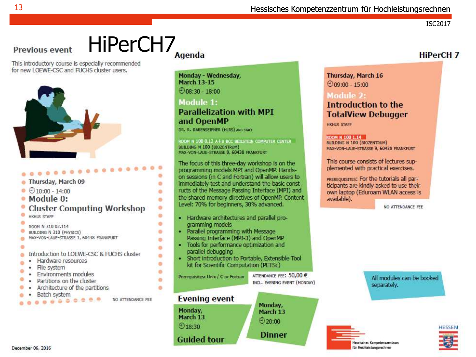#### Hessisches Kompetenzzentrum für Hochleistungsrechnen

ISC2017

**HiPerCH 7** 

#### HiPerCH7 **Previous event**

This introductory course is especially recommended for new LOEWE-CSC and FUCHS cluster users.



**AAA**<sup>8</sup><sup>0</sup>

| Thursday, March 09                                                                                                                                                    |
|-----------------------------------------------------------------------------------------------------------------------------------------------------------------------|
| $@10:00 - 14:00$                                                                                                                                                      |
| Module 0:                                                                                                                                                             |
| <b>Cluster Computing Workshop</b><br>HKHLR STAFF                                                                                                                      |
| ROOM N 310 02.114<br>BUILDING N 310 (PHYSICS)<br>MAX-VON-LAUE-STRASSE 1, 60438 FRANKFURT                                                                              |
| Introduction to LOEWE-CSC & FUCHS cluster<br>Hardware resources<br>File system<br>Environments modules<br>Partitions on the cluster<br>Architecture of the partitions |
| Batch system                                                                                                                                                          |

۰

e.

o.

 $\bullet$ ٠

۰

۰

۰

۰

ø

۰

o

ö

ä

Monday - Wednesday, **March 13-15**  $\bigcirc$  08:30 - 18:00

#### Module 1: **Parallelization with MPI** and OpenMP

DR. R. RABENSEIFNER (HLRS) AND STAFF

ROOM N 100 0.12 A+8 BCC BERSTEIN COMPUTER CENTER BUILDING N 100 (BIOZENTRUM) MAX-VON-LAUE-STRASSE 9, 60438 FRANKFURT

The focus of this three-day workshop is on the programming models MPI and OpenMP. Handson sessions (in C and Fortran) will allow users to immediately test and understand the basic constructs of the Message Passing Interface (MPI) and the shared memory directives of OpenMP. Content Level: 70% for beginners, 30% advanced.

- · Hardware architectures and parallel programming models
- · Parallel programming with Message Passing Interface (MPI-3) and OpenMP
- · Tools for performance optimization and parallel debugging
- · Short introduction to Portable, Extensible Tool kit for Scientific Computation (PETSc)

Prerequisites: Unix / C or Fortran

ATTENDANCE FEE: 50,00 € INCL. EVENING EVENT (MONDAY)



#### Thursday, March 16  $@09:00 - 15:00$

#### Module 2: **Introduction to the TotalView Debugger**

**HKHLR STAFF** 

#### ROOM N 100 1.14

BUILDING N 100 (BIOZENTRUM) MAX-VON-LAUE-STRASSE 9, 60438 FRANKFURT

This course consists of lectures supplemented with practical exercises.

PREREQUISITES: For the tutorials all participants are kindly asked to use their own laptop (Eduroam WLAN access is available).

NO ATTENDANCE FEE

All modules can be booked separately.



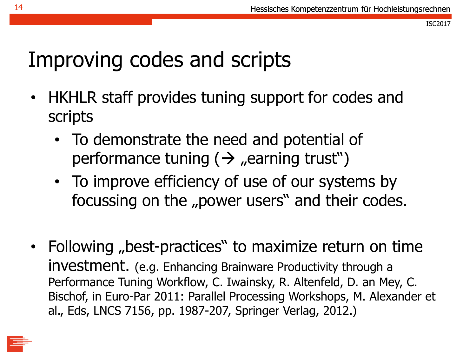### Improving codes and scripts

- HKHLR staff provides tuning support for codes and scripts
	- To demonstrate the need and potential of performance tuning  $(\rightarrow$  "earning trust")
	- To improve efficiency of use of our systems by focussing on the "power users" and their codes.
- Following "best-practices" to maximize return on time investment. (e.g. Enhancing Brainware Productivity through a Performance Tuning Workflow, C. Iwainsky, R. Altenfeld, D. an Mey, C. Bischof, in Euro-Par 2011: Parallel Processing Workshops, M. Alexander et al., Eds, LNCS 7156, pp. 1987-207, Springer Verlag, 2012.)

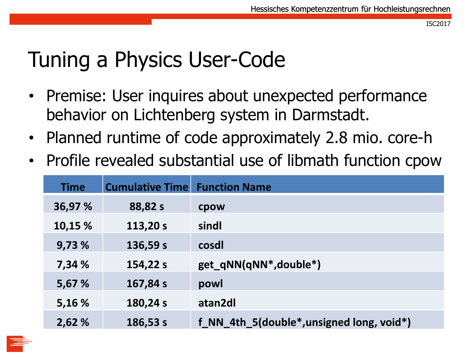### Tuning a Physics User-Code

- Premise: User inquires about unexpected performance behavior on Lichtenberg system in Darmstadt.
- Planned runtime of code approximately 2.8 mio. core-h
- Profile revealed substantial use of libmath function cpow

| <b>Time</b> | <b>Cumulative Time Function Name</b> |                                                                     |
|-------------|--------------------------------------|---------------------------------------------------------------------|
| 36,97 %     | 88,82 s                              | cpow                                                                |
| 10,15 %     | 113,20 s                             | sindl                                                               |
| 9,73 %      | 136,59 s                             | cosdl                                                               |
| 7,34 %      | 154,22 s                             | get_qNN(qNN*,double*)                                               |
| 5,67 %      | 167,84 s                             | powl                                                                |
| 5,16 %      | 180,24 s                             | atan2dl                                                             |
| 2,62%       | 186,53 s                             | f NN 4th 5(double <sup>*</sup> , unsigned long, void <sup>*</sup> ) |

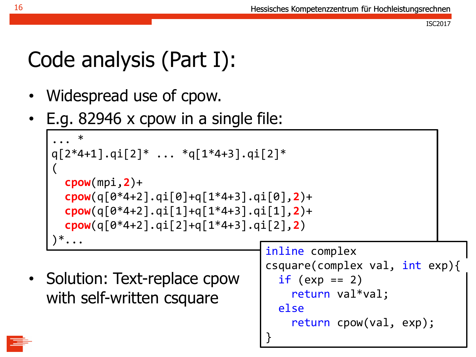### Code analysis (Part I):

- Widespread use of cpow.
- E.g. 82946 x cpow in a single file:

```
... *
q[2*4+1].qi[2]* ... *q[1*4+3].qi[2]*
\overline{(\ }cpow(mpi,2)+
  cpow(q[0*4+2].qi[0]+q[1*4+3].qi[0],2)+
  cpow(q[0*4+2].qi[1]+q[1*4+3].qi[1],2)+
  cpow(q[0*4+2].qi[2]+q[1*4+3].qi[2],2)
)^{\ast} \cdots
```
• Solution: Text-replace cpow with self-written csquare

```
inline complex
csquare(complex val, int exp){
  if (exp == 2)return val*val;
  else
    return cpow(val, exp);
}
```


16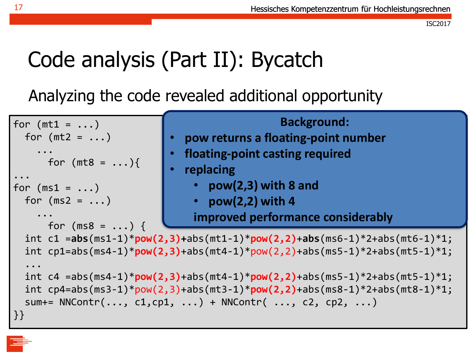### Code analysis (Part II): Bycatch

Analyzing the code revealed additional opportunity

```
for (mt1 = ...)for (mt2 = ...)
    ... 
      for (mt8 = \ldots){
...
for (ms1 = ...)for (ms2 = ...)...
      for (ms8 = ... ) {
  int c1 =abs(ms1-1)*pow(2,3)+abs(mt1-1)*pow(2,2)+abs(ms6-1)*2+abs(mt6-1)*1;
  int cp1=abs(ms4-1)*pow(2,3)+abs(mt4-1)*pow(2,2)+abs(ms5-1)*2+abs(mt5-1)*1;
  ...
  int c4 =abs(ms4-1)*pow(2,3)+abs(mt4-1)*pow(2,2)+abs(ms5-1)*2+abs(mt5-1)*1;
  int cp4=abs(ms3-1)*pow(2,3)+abs(mt3-1)*pow(2,2)+abs(ms8-1)*2+abs(mt8-1)*1;
  sum+= NNControl(r(\ldots, c1, cp1, \ldots) + NNControl(r(\ldots, c2, cp2, \ldots))}}
                                                 Background:
                               • pow returns a floating-point number
                              • floating-point casting required
                               • replacing
                                 • pow(2,3) with 8 and 
                                 • pow(2,2) with 4
                                 improved performance considerably
```
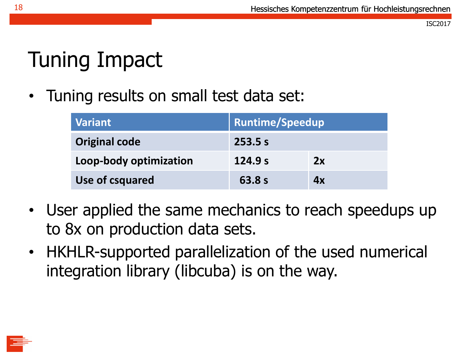### Tuning Impact

• Tuning results on small test data set:

| <b>Variant</b>         | <b>Runtime/Speedup</b> |    |
|------------------------|------------------------|----|
| <b>Original code</b>   | 253.5 s                |    |
| Loop-body optimization | 124.9 s                | 2x |
| Use of csquared        | 63.8s                  | 4x |

- User applied the same mechanics to reach speedups up to 8x on production data sets.
- HKHLR-supported parallelization of the used numerical integration library (libcuba) is on the way.

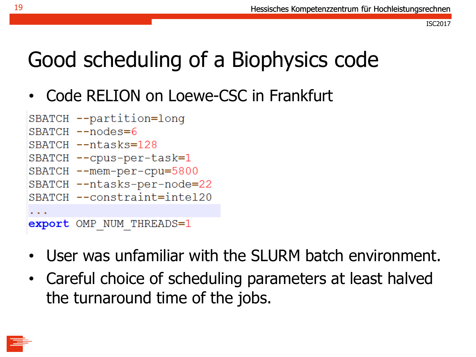### Good scheduling of a Biophysics code

• Code RELION on Loewe-CSC in Frankfurt

```
SBATCH --partition=long
SBATCH --nodes=6
SBATCH --ntasks=128SBATCH --cpus-per-task=1
SBATCH --mem-per-cpu=5800
SBATCH -- ntasks-per-node=22
SBATCH --constraint=intel20
\cdotsexport OMP NUM THREADS=1
```
- User was unfamiliar with the SLURM batch environment.
- Careful choice of scheduling parameters at least halved the turnaround time of the jobs.

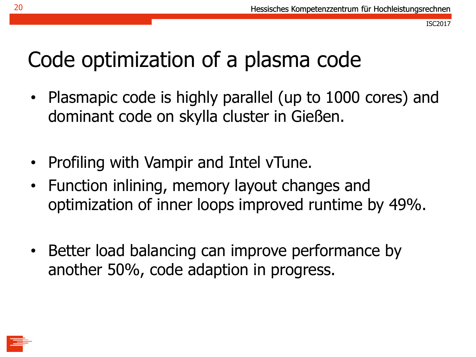### Code optimization of a plasma code

- Plasmapic code is highly parallel (up to 1000 cores) and dominant code on skylla cluster in Gießen.
- Profiling with Vampir and Intel vTune.
- Function inlining, memory layout changes and optimization of inner loops improved runtime by 49%.
- Better load balancing can improve performance by another 50%, code adaption in progress.

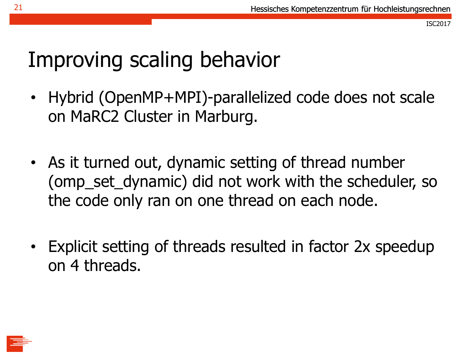### Improving scaling behavior

- Hybrid (OpenMP+MPI)-parallelized code does not scale on MaRC2 Cluster in Marburg.
- As it turned out, dynamic setting of thread number (omp set dynamic) did not work with the scheduler, so the code only ran on one thread on each node.
- Explicit setting of threads resulted in factor 2x speedup on 4 threads.

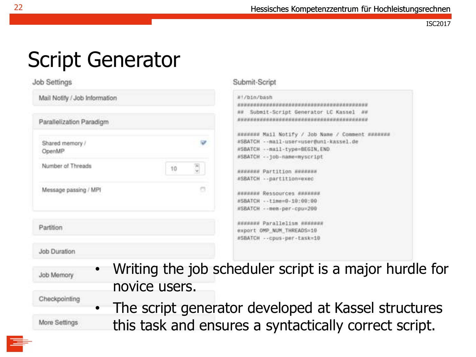### Script Generator

#### **Job Settings**

| Mail Notify / Job Information |    | #!/bin/bash<br>************                                             |
|-------------------------------|----|-------------------------------------------------------------------------|
| Parallelization Paradigm      |    | N# Submit-S<br>ALCOHOL: A SERIE AND AN ART ART AND AND                  |
| Shared memory /<br>OpenMP     |    | NANHEAR Mail<br><b>NSBATCH -- BIA</b><br>#SBATCH -- ma<br>#SBATCH -- 10 |
| Number of Threads             | 10 | <b>NHHHHHH Part</b><br><b>#SBATCH -- pa</b>                             |
| Message passing / MPI         | a  | NAHAHHH Ress<br>#SBATCH -- L1<br><b>NSBATCH -- me</b>                   |
| Partition                     |    | невяния Рага<br>export OMP N<br>#SBATCH -- cp                           |

#### Submit-Script

| #!/bin/bash                                                          |  |
|----------------------------------------------------------------------|--|
|                                                                      |  |
| N# Submit-Script Generator LC Kassel ##                              |  |
|                                                                      |  |
|                                                                      |  |
| HRREEZ# Mail Notify / Job Name / Comment #######                     |  |
| #SBATCH -- mail-user=user@uni-kassel.de                              |  |
| #SBATCH -- mail-type=BEGIN, END                                      |  |
| #SBATCH -- 100-name=myscript                                         |  |
| NEBERNE Partition ENVERNE                                            |  |
| #SBATCH -- partition=exec<br>material and the company of the company |  |
| NEBERNE Ressources ERREERE                                           |  |
| #5BATCH -- time=0-10:00:00                                           |  |
| #SBATCH -- mem-per-cpu=200                                           |  |
| HEERREE Parallelism HEERREE                                          |  |
| export OMP NUM THREADS=10                                            |  |
| #SBATCH -- cpus-per-task=10                                          |  |

Job Duration

Job Memory

Checkpointing

More Settings

- Writing the job scheduler script is a major hurdle for novice users.
- The script generator developed at Kassel structures this task and ensures a syntactically correct script.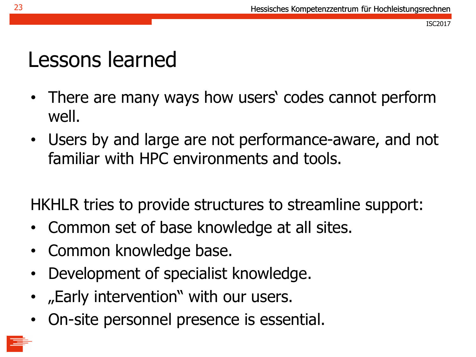### Lessons learned

- There are many ways how users' codes cannot perform well.
- Users by and large are not performance-aware, and not familiar with HPC environments and tools.

HKHLR tries to provide structures to streamline support:

- Common set of base knowledge at all sites.
- Common knowledge base.
- Development of specialist knowledge.
- "Early intervention" with our users.
- On-site personnel presence is essential.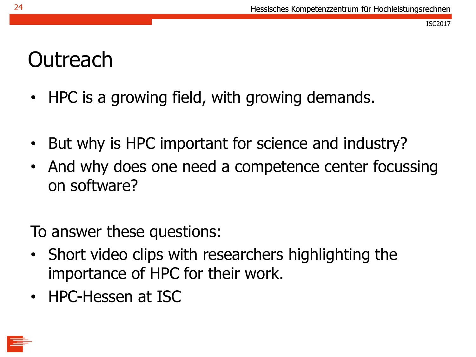### **Outreach**

- HPC is a growing field, with growing demands.
- But why is HPC important for science and industry?
- And why does one need a competence center focussing on software?

To answer these questions:

- Short video clips with researchers highlighting the importance of HPC for their work.
- HPC-Hessen at ISC

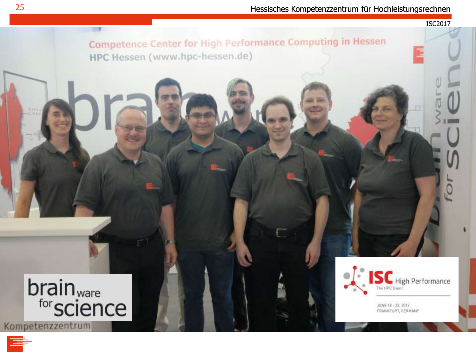ISC2017

Competence Center for High Performance Computing in Hessen HPC Hessen (www.hpc-hessen.de)

# brain<sub>ware</sub><br>f<sup>or</sup>science

Kompetenzzentrum



JUNE 18 - 22, 2017 FRANKFURT, GERMANY

四种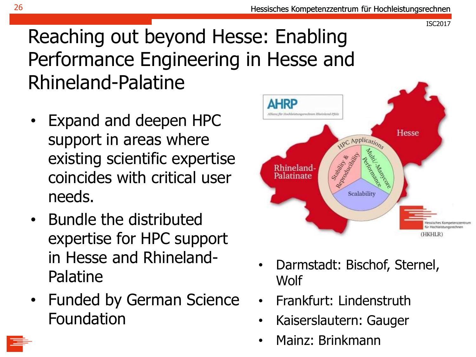### Reaching out beyond Hesse: Enabling Performance Engineering in Hesse and Rhineland-Palatine

- Expand and deepen HPC support in areas where existing scientific expertise coincides with critical user needs.
- Bundle the distributed expertise for HPC support in Hesse and Rhineland-Palatine
- Funded by German Science Foundation



- Darmstadt: Bischof, Sternel, Wolf
- Frankfurt: Lindenstruth
- Kaiserslautern: Gauger
- Mainz: Brinkmann